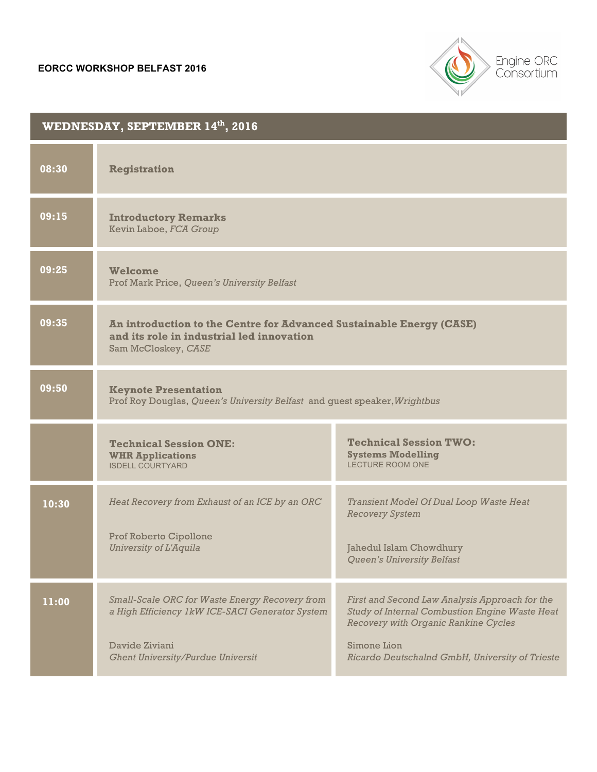

| WEDNESDAY, SEPTEMBER 14th, 2016 |                                                                                                                                                                 |                                                                                                                                                                                                            |
|---------------------------------|-----------------------------------------------------------------------------------------------------------------------------------------------------------------|------------------------------------------------------------------------------------------------------------------------------------------------------------------------------------------------------------|
| 08:30                           | <b>Registration</b>                                                                                                                                             |                                                                                                                                                                                                            |
| 09:15                           | <b>Introductory Remarks</b><br>Kevin Laboe, FCA Group                                                                                                           |                                                                                                                                                                                                            |
| 09:25                           | <b>Welcome</b><br>Prof Mark Price, Queen's University Belfast                                                                                                   |                                                                                                                                                                                                            |
| 09:35                           | An introduction to the Centre for Advanced Sustainable Energy (CASE)<br>and its role in industrial led innovation<br>Sam McCloskey, CASE                        |                                                                                                                                                                                                            |
| 09:50                           | <b>Keynote Presentation</b><br>Prof Roy Douglas, Queen's University Belfast and guest speaker, Wrightbus                                                        |                                                                                                                                                                                                            |
|                                 | <b>Technical Session ONE:</b><br><b>WHR Applications</b><br><b>ISDELL COURTYARD</b>                                                                             | <b>Technical Session TWO:</b><br><b>Systems Modelling</b><br><b>LECTURE ROOM ONE</b>                                                                                                                       |
| 10:30                           | Heat Recovery from Exhaust of an ICE by an ORC<br>Prof Roberto Cipollone<br>University of L'Aquila                                                              | Transient Model Of Dual Loop Waste Heat<br><b>Recovery System</b><br>Jahedul Islam Chowdhury<br>Queen's University Belfast                                                                                 |
| 11:00                           | Small-Scale ORC for Waste Energy Recovery from<br>a High Efficiency 1kW ICE-SACI Generator System<br>Davide Ziviani<br><b>Ghent University/Purdue Universit</b> | First and Second Law Analysis Approach for the<br>Study of Internal Combustion Engine Waste Heat<br>Recovery with Organic Rankine Cycles<br>Simone Lion<br>Ricardo Deutschalnd GmbH, University of Trieste |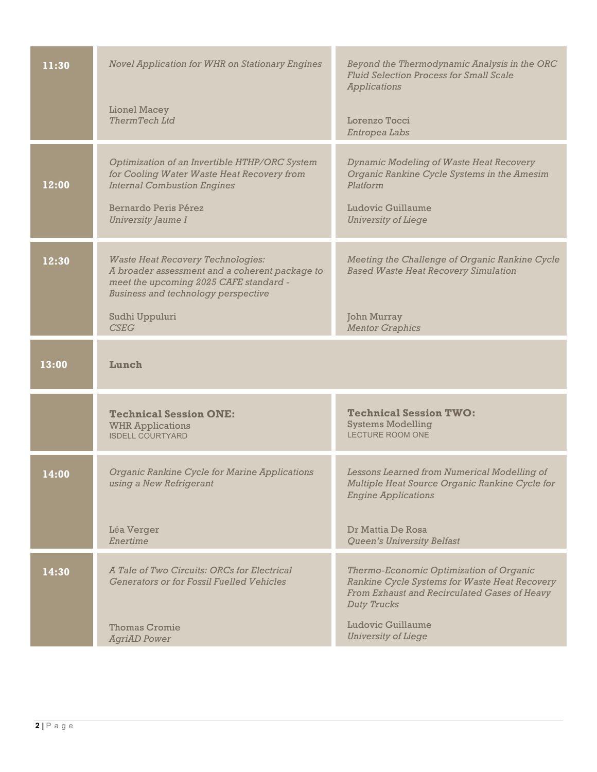| 11:30 | <b>Novel Application for WHR on Stationary Engines</b>                                                                                                                                        | Beyond the Thermodynamic Analysis in the ORC<br><b>Fluid Selection Process for Small Scale</b><br><b>Applications</b>                                        |
|-------|-----------------------------------------------------------------------------------------------------------------------------------------------------------------------------------------------|--------------------------------------------------------------------------------------------------------------------------------------------------------------|
|       | Lionel Macey<br><b>ThermTech Ltd</b>                                                                                                                                                          | Lorenzo Tocci<br>Entropea Labs                                                                                                                               |
| 12:00 | Optimization of an Invertible HTHP/ORC System<br>for Cooling Water Waste Heat Recovery from<br><b>Internal Combustion Engines</b><br><b>Bernardo Peris Pérez</b><br><b>University Jaume I</b> | <b>Dynamic Modeling of Waste Heat Recovery</b><br>Organic Rankine Cycle Systems in the Amesim<br>Platform<br>Ludovic Guillaume<br><b>University of Liege</b> |
| 12:30 | <b>Waste Heat Recovery Technologies:</b><br>A broader assessment and a coherent package to<br>meet the upcoming 2025 CAFE standard -<br><b>Business and technology perspective</b>            | Meeting the Challenge of Organic Rankine Cycle<br><b>Based Waste Heat Recovery Simulation</b>                                                                |
|       | Sudhi Uppuluri<br><b>CSEG</b>                                                                                                                                                                 | <b>John Murray</b><br><b>Mentor Graphics</b>                                                                                                                 |
| 13:00 | Lunch                                                                                                                                                                                         |                                                                                                                                                              |
|       | <b>Technical Session ONE:</b><br><b>WHR Applications</b><br><b>ISDELL COURTYARD</b>                                                                                                           | <b>Technical Session TWO:</b><br><b>Systems Modelling</b><br><b>LECTURE ROOM ONE</b>                                                                         |
| 14:00 | Organic Rankine Cycle for Marine Applications<br>using a New Refrigerant                                                                                                                      | Lessons Learned from Numerical Modelling of<br>Multiple Heat Source Organic Rankine Cycle for<br><b>Engine Applications</b>                                  |
|       | Léa Verger<br>Enertime                                                                                                                                                                        | Dr Mattia De Rosa<br>Queen's University Belfast                                                                                                              |
| 14:30 | A Tale of Two Circuits: ORCs for Electrical<br><b>Generators or for Fossil Fuelled Vehicles</b>                                                                                               | Thermo-Economic Optimization of Organic<br>Rankine Cycle Systems for Waste Heat Recovery<br>From Exhaust and Recirculated Gases of Heavy<br>Duty Trucks      |
|       | <b>Thomas Cromie</b><br><b>AgriAD</b> Power                                                                                                                                                   | Ludovic Guillaume<br><b>University of Liege</b>                                                                                                              |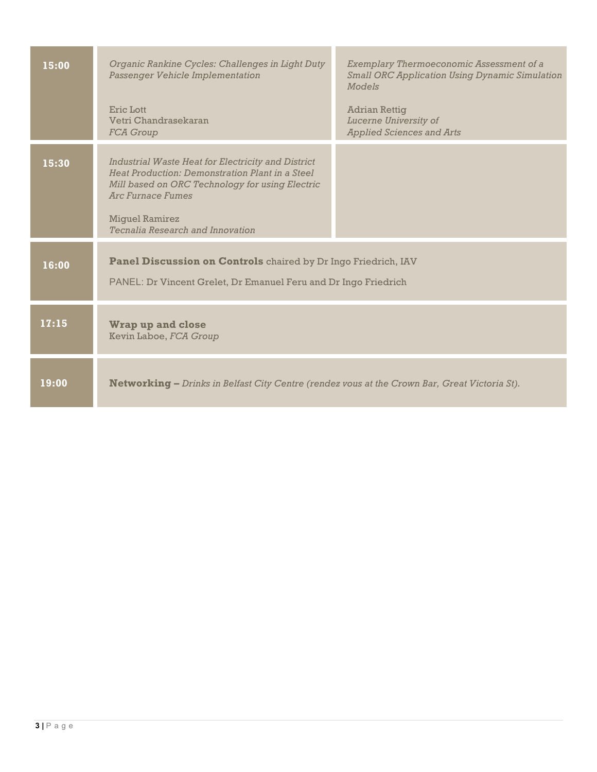| 15:00 | Organic Rankine Cycles: Challenges in Light Duty<br>Passenger Vehicle Implementation<br>Eric Lott                                                                                                                                                 | Exemplary Thermoeconomic Assessment of a<br><b>Small ORC Application Using Dynamic Simulation</b><br>Models<br><b>Adrian Rettig</b> |
|-------|---------------------------------------------------------------------------------------------------------------------------------------------------------------------------------------------------------------------------------------------------|-------------------------------------------------------------------------------------------------------------------------------------|
|       | Vetri Chandrasekaran<br><b>FCA</b> Group                                                                                                                                                                                                          | Lucerne University of<br><b>Applied Sciences and Arts</b>                                                                           |
| 15:30 | Industrial Waste Heat for Electricity and District<br>Heat Production: Demonstration Plant in a Steel<br>Mill based on ORC Technology for using Electric<br><b>Arc Furnace Fumes</b><br><b>Miguel Ramirez</b><br>Tecnalia Research and Innovation |                                                                                                                                     |
| 16:00 | <b>Panel Discussion on Controls</b> chaired by Dr Ingo Friedrich, IAV<br>PANEL: Dr Vincent Grelet, Dr Emanuel Feru and Dr Ingo Friedrich                                                                                                          |                                                                                                                                     |
| 17:15 | <b>Wrap up and close</b><br>Kevin Laboe, FCA Group                                                                                                                                                                                                |                                                                                                                                     |
| 19:00 | Networking - Drinks in Belfast City Centre (rendez vous at the Crown Bar, Great Victoria St).                                                                                                                                                     |                                                                                                                                     |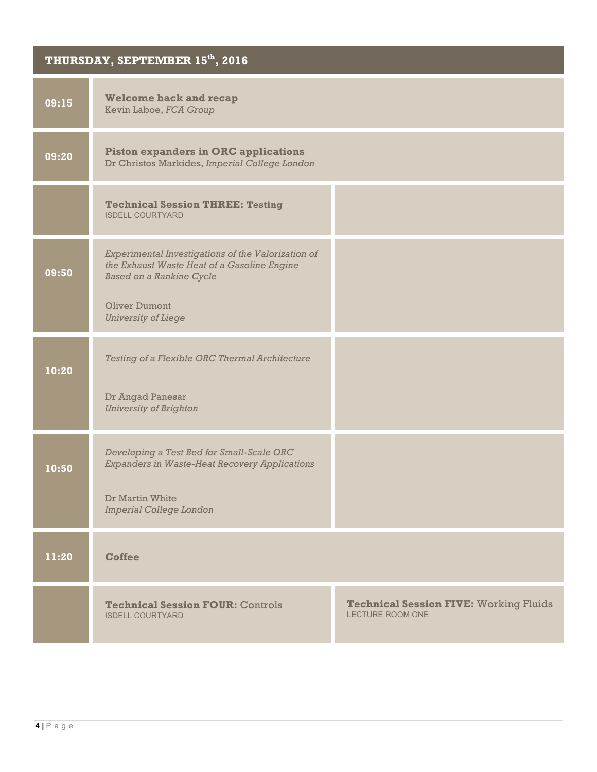## **THURSDAY, SEPTEMBER 15th, 2016**

| 09:15 | <b>Welcome back and recap</b><br>Kevin Laboe, FCA Group                                                                              |                                                                          |
|-------|--------------------------------------------------------------------------------------------------------------------------------------|--------------------------------------------------------------------------|
| 09:20 | <b>Piston expanders in ORC applications</b><br>Dr Christos Markides, Imperial College London                                         |                                                                          |
|       | <b>Technical Session THREE: Testing</b><br><b>ISDELL COURTYARD</b>                                                                   |                                                                          |
| 09:50 | Experimental Investigations of the Valorization of<br>the Exhaust Waste Heat of a Gasoline Engine<br><b>Based on a Rankine Cycle</b> |                                                                          |
|       | <b>Oliver Dumont</b><br><b>University of Liege</b>                                                                                   |                                                                          |
| 10:20 | Testing of a Flexible ORC Thermal Architecture                                                                                       |                                                                          |
|       | Dr Angad Panesar<br><b>University of Brighton</b>                                                                                    |                                                                          |
| 10:50 | Developing a Test Bed for Small-Scale ORC<br><b>Expanders in Waste-Heat Recovery Applications</b>                                    |                                                                          |
|       | Dr Martin White<br>Imperial College London                                                                                           |                                                                          |
| 11:20 | <b>Coffee</b>                                                                                                                        |                                                                          |
|       | <b>Technical Session FOUR: Controls</b><br><b>ISDELL COURTYARD</b>                                                                   | <b>Technical Session FIVE: Working Fluids</b><br><b>LECTURE ROOM ONE</b> |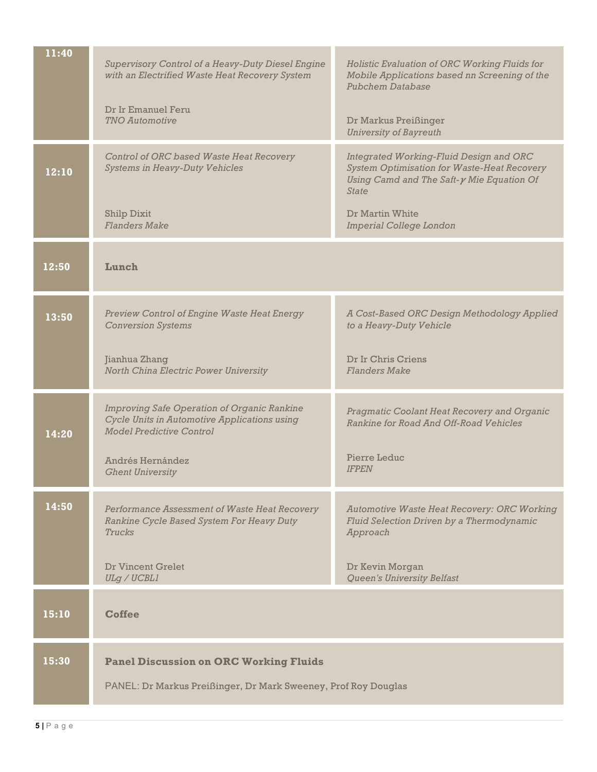| 11:40 | Supervisory Control of a Heavy-Duty Diesel Engine<br>with an Electrified Waste Heat Recovery System                                   | Holistic Evaluation of ORC Working Fluids for<br>Mobile Applications based nn Screening of the<br>Pubchem Database                                                 |
|-------|---------------------------------------------------------------------------------------------------------------------------------------|--------------------------------------------------------------------------------------------------------------------------------------------------------------------|
|       | Dr Ir Emanuel Feru<br><b>TNO Automotive</b>                                                                                           | Dr Markus Preißinger<br><b>University of Bayreuth</b>                                                                                                              |
| 12:10 | Control of ORC based Waste Heat Recovery<br><b>Systems in Heavy-Duty Vehicles</b>                                                     | Integrated Working-Fluid Design and ORC<br><b>System Optimisation for Waste-Heat Recovery</b><br>Using Camd and The Saft- $\gamma$ Mie Equation Of<br><i>State</i> |
|       | <b>Shilp Dixit</b><br><b>Flanders Make</b>                                                                                            | Dr Martin White<br>Imperial College London                                                                                                                         |
| 12:50 | Lunch                                                                                                                                 |                                                                                                                                                                    |
| 13:50 | <b>Preview Control of Engine Waste Heat Energy</b><br><b>Conversion Systems</b>                                                       | A Cost-Based ORC Design Methodology Applied<br>to a Heavy-Duty Vehicle                                                                                             |
|       | Jianhua Zhang<br>North China Electric Power University                                                                                | Dr Ir Chris Criens<br><b>Flanders Make</b>                                                                                                                         |
| 14:20 | <b>Improving Safe Operation of Organic Rankine</b><br>Cycle Units in Automotive Applications using<br><b>Model Predictive Control</b> | Pragmatic Coolant Heat Recovery and Organic<br>Rankine for Road And Off-Road Vehicles                                                                              |
|       | Andrés Hernández<br><b>Ghent University</b>                                                                                           | Pierre Leduc<br><b>IFPEN</b>                                                                                                                                       |
| 14:50 | Performance Assessment of Waste Heat Recovery<br>Rankine Cycle Based System For Heavy Duty<br><b>Trucks</b>                           | <b>Automotive Waste Heat Recovery: ORC Working</b><br>Fluid Selection Driven by a Thermodynamic<br>Approach                                                        |
|       | <b>Dr Vincent Grelet</b><br>ULg / UCBL1                                                                                               | Dr Kevin Morgan<br><b>Queen's University Belfast</b>                                                                                                               |
| 15:10 | <b>Coffee</b>                                                                                                                         |                                                                                                                                                                    |
| 15:30 | <b>Panel Discussion on ORC Working Fluids</b><br>PANEL: Dr Markus Preißinger, Dr Mark Sweeney, Prof Roy Douglas                       |                                                                                                                                                                    |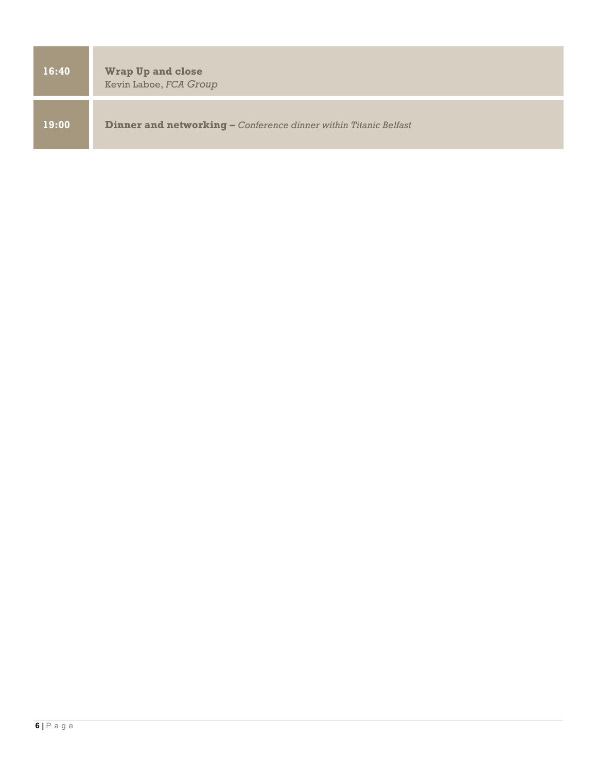| 16:40 | <b>Wrap Up and close</b><br>Kevin Laboe, FCA Group                      |
|-------|-------------------------------------------------------------------------|
| 19:00 | <b>Dinner and networking - Conference dinner within Titanic Belfast</b> |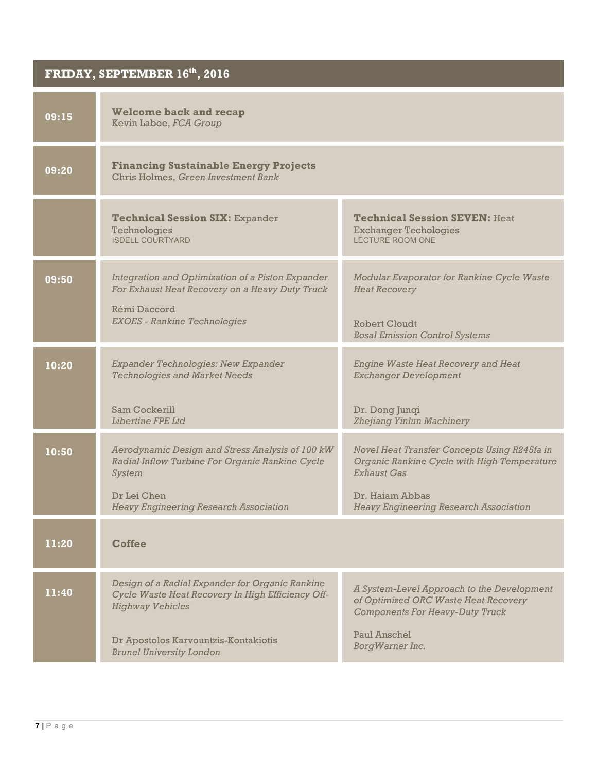| FRIDAY, SEPTEMBER 16 <sup>th</sup> , 2016 |                                                                                                                                 |                                                                                                                              |
|-------------------------------------------|---------------------------------------------------------------------------------------------------------------------------------|------------------------------------------------------------------------------------------------------------------------------|
| 09:15                                     | <b>Welcome back and recap</b><br>Kevin Laboe, FCA Group                                                                         |                                                                                                                              |
| 09:20                                     | <b>Financing Sustainable Energy Projects</b><br>Chris Holmes, Green Investment Bank                                             |                                                                                                                              |
|                                           | <b>Technical Session SIX: Expander</b><br>Technologies<br><b>ISDELL COURTYARD</b>                                               | <b>Technical Session SEVEN: Heat</b><br><b>Exchanger Techologies</b><br><b>LECTURE ROOM ONE</b>                              |
| 09:50                                     | Integration and Optimization of a Piston Expander<br>For Exhaust Heat Recovery on a Heavy Duty Truck                            | Modular Evaporator for Rankine Cycle Waste<br><b>Heat Recovery</b>                                                           |
|                                           | Rémi Daccord<br><b>EXOES</b> - Rankine Technologies                                                                             | Robert Cloudt<br><b>Bosal Emission Control Systems</b>                                                                       |
| 10:20                                     | Expander Technologies: New Expander<br><b>Technologies and Market Needs</b>                                                     | <b>Engine Waste Heat Recovery and Heat</b><br><b>Exchanger Development</b>                                                   |
|                                           | Sam Cockerill<br>Libertine FPE Ltd                                                                                              | Dr. Dong Junqi<br>Zhejiang Yinlun Machinery                                                                                  |
| 10:50                                     | Aerodynamic Design and Stress Analysis of 100 kW<br>Radial Inflow Turbine For Organic Rankine Cycle<br>System                   | Novel Heat Transfer Concepts Using R245fa in<br>Organic Rankine Cycle with High Temperature<br><b>Exhaust Gas</b>            |
|                                           | Dr Lei Chen<br><b>Heavy Engineering Research Association</b>                                                                    | Dr. Hajam Abbas<br><b>Heavy Engineering Research Association</b>                                                             |
| 11:20                                     | <b>Coffee</b>                                                                                                                   |                                                                                                                              |
| 11:40                                     | Design of a Radial Expander for Organic Rankine<br>Cycle Waste Heat Recovery In High Efficiency Off-<br><b>Highway Vehicles</b> | A System-Level Approach to the Development<br>of Optimized ORC Waste Heat Recovery<br><b>Components For Heavy-Duty Truck</b> |
|                                           | Dr Apostolos Karvountzis-Kontakiotis<br><b>Brunel University London</b>                                                         | Paul Anschel<br>BorgWarner Inc.                                                                                              |